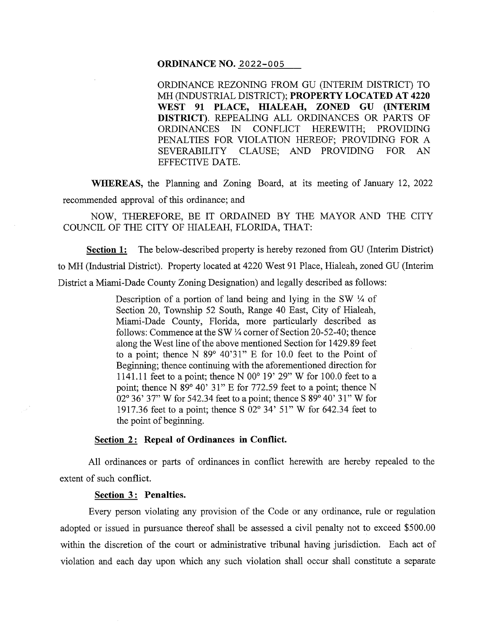### **ORDINANCE NO.** 2022-005

ORDINANCE REZONING FROM GU (INTERIM DISTRICT) TO MH (INDUSTRIAL DISTRICT); **PROPERTY LOCATED AT 4220 WEST 91 PLACE, HIALEAH, ZONED GU (INTERIM DISTRICT).** REPEALING ALL ORDINANCES OR PARTS OF ORDINANCES IN CONFLICT HEREWITH; PROVIDING PENALTIES FOR VIOLATION HEREOF; PROVIDING FOR A SEVERABILITY CLAUSE; AND PROVIDING FOR AN EFFECTIVE DATE.

**WHEREAS,** the Planning and Zoning Board, at its meeting of January 12, 2022 recommended approval of this ordinance; and

NOW, THEREFORE, BE IT ORDAINED BY THE MAYOR AND THE CITY COUNCIL OF THE CITY OF HIALEAH, FLORIDA, THAT:

**Section 1:** The below-described property is hereby rezoned from GU (Interim District) to MH (Industrial District). Property located at 4220 West 91 Place, Hialeah, zoned GU (Interim District a Miami-Dade County Zoning Designation) and legally described as follows:

> Description of a portion of land being and lying in the SW *114* of Section 20, Township 52 South, Range 40 East, City of Hialeah, Miami-Dade County, Florida, more particularly described as follows: Commence at the SW *114* corner of Section 20-52-40; thence along the West line of the above mentioned Section for 1429.89 feet to a point; thence N 89° 40'31" E for 10.0 feet to the Point of Beginning; thence continuing with the aforementioned direction for 1141.11 feet to a point; thence N 00° 19' 29" W for 100.0 feet to a point; thence N 89° 40' 31" E for 772.59 feet to a point; thence N 02° 36' 37" W for 542.34 feet to a point; thence S 89° 40' 31" W for 1917.36 feet to a point; thence S 02° 34' 51" W for 642.34 feet to the point of beginning.

### **<u>Section 2:</u> Repeal of Ordinances in Conflict.**

All ordinances or parts of ordinances in conflict herewith are hereby repealed to the extent of such conflict.

### **Section** 3 : **Penalties.**

Every person violating any provision of the Code or any ordinance, rule or regulation adopted or issued in pursuance thereof shall be assessed a civil penalty not to exceed \$500.00 within the discretion of the court or administrative tribunal having jurisdiction. Each act of violation and each day upon which any such violation shall occur shall constitute a separate